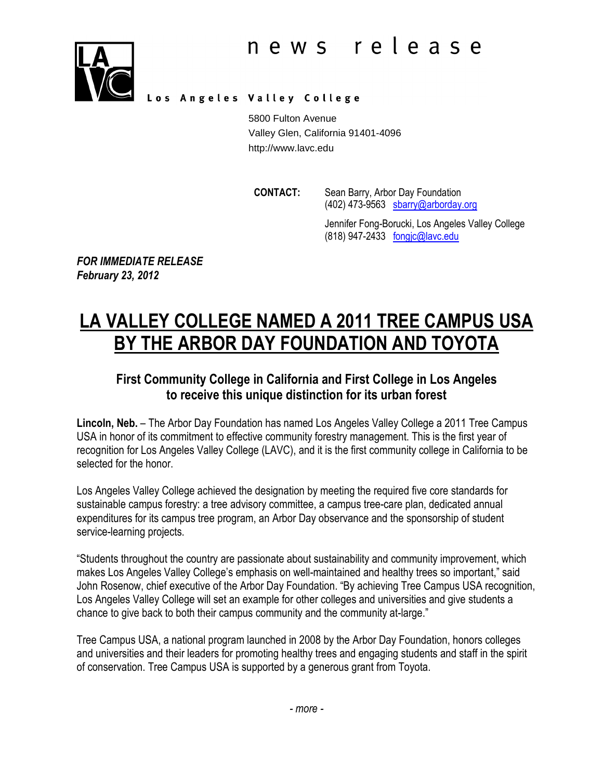

Los Angeles Valley College

5800 Fulton Avenue Valley Glen, California 91401-4096 http://www.lavc.edu

CONTACT: Sean Barry, Arbor Day Foundation  $(402)$  473-9563 sbarry@arborday.org

Jennifer Fong-Borucki, Los Angeles Valley College (818) 947-2433 fongjc@lavc.edu

FOR IMMEDIATE RELEASE February 23, 2012

# LA VALLEY COLLEGE NAMED A 2011 TREE CAMPUS USA BY THE ARBOR DAY FOUNDATION AND TOYOTA

### First Community College in California and First College in Los Angeles to receive this unique distinction for its urban forest

Lincoln, Neb. – The Arbor Day Foundation has named Los Angeles Valley College a 2011 Tree Campus USA in honor of its commitment to effective community forestry management. This is the first year of recognition for Los Angeles Valley College (LAVC), and it is the first community college in California to be selected for the honor.

Los Angeles Valley College achieved the designation by meeting the required five core standards for sustainable campus forestry: a tree advisory committee, a campus tree-care plan, dedicated annual expenditures for its campus tree program, an Arbor Day observance and the sponsorship of student service-learning projects.

"Students throughout the country are passionate about sustainability and community improvement, which makes Los Angeles Valley College's emphasis on well-maintained and healthy trees so important," said John Rosenow, chief executive of the Arbor Day Foundation. "By achieving Tree Campus USA recognition, Los Angeles Valley College will set an example for other colleges and universities and give students a chance to give back to both their campus community and the community at-large."

Tree Campus USA, a national program launched in 2008 by the Arbor Day Foundation, honors colleges and universities and their leaders for promoting healthy trees and engaging students and staff in the spirit of conservation. Tree Campus USA is supported by a generous grant from Toyota.